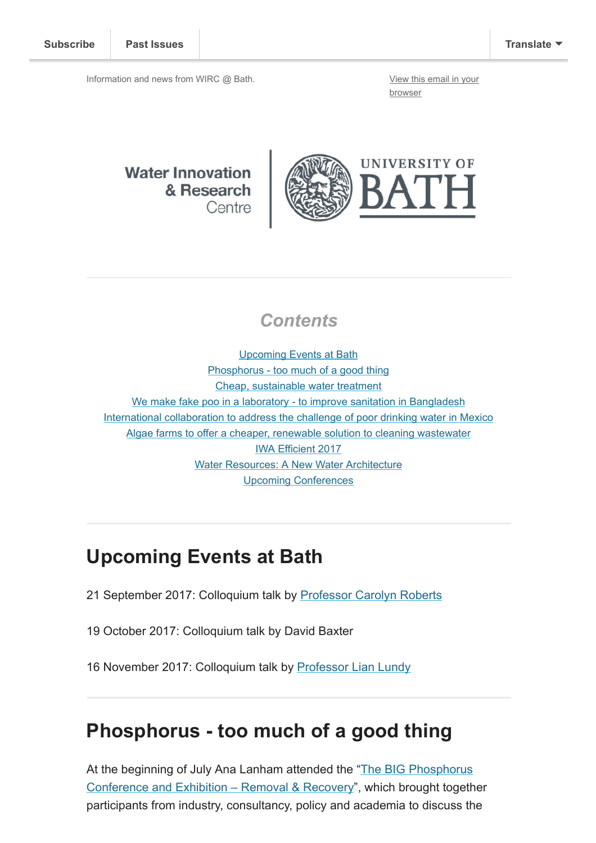Information and news from WIRC @ Bath. [View this email in your](http://mailchi.mp/ef9e5429bd38/wircjuly2017?e=[UNIQID])

browser

**Water Innovation** & Research Centre



#### **Contents**

[Upcoming Events at Bath](#page-0-0) [Phosphorus - too much of a good thing](#page-0-1) [Cheap, sustainable water treatment](#page-1-0) [We make fake poo in a laboratory - to improve sanitation in Bangladesh](#page-1-1) [International collaboration to address the challenge of poor drinking water in Mexico](#page-1-2) [Algae farms to offer a cheaper, renewable solution to cleaning wastewater](#page-1-3) [IWA Efficient 2017](#page-1-4) [Water Resources: A New Water Architecture](#page-2-0) [Upcoming Conferences](#page-2-1)

### <span id="page-0-0"></span>Upcoming Events at Bath

- 21 September 2017: Colloquium talk by [Professor Carolyn Roberts](https://www.gresham.ac.uk/professors-and-speakers/professor-carolyn-roberts/)
- 19 October 2017: Colloquium talk by David Baxter
- 16 November 2017: Colloquium talk by [Professor Lian Lundy](https://www.mdx.ac.uk/about-us/our-people/staff-directory/profile/lundy-lian)

#### <span id="page-0-1"></span>Phosphorus - too much of a good thing

[At the beginning of July Ana Lanham attended the "The BIG Phosphorus](http://www.aquaenviro.co.uk/events/conferences/big-phosphorus-conference/) Conference and Exhibition – Removal & Recovery", which brought together participants from industry, consultancy, policy and academia to discuss the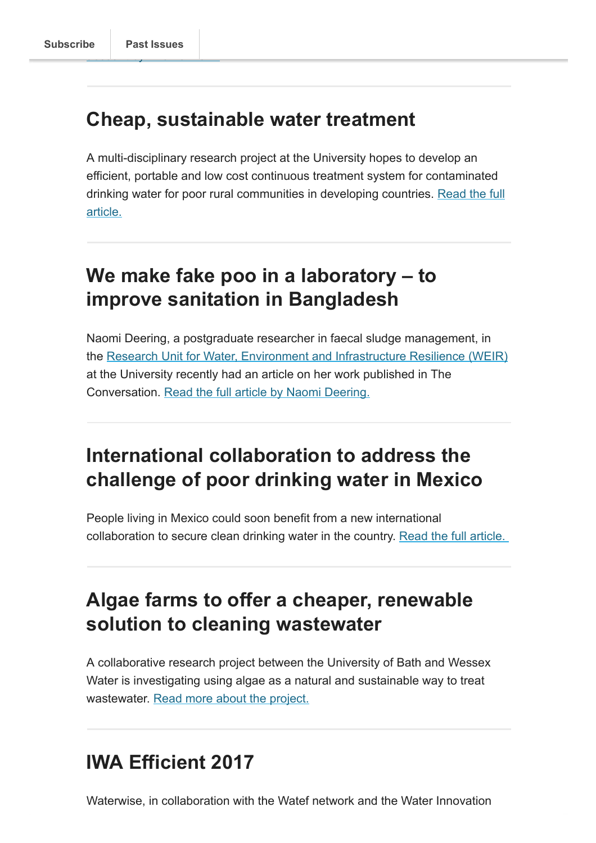### <span id="page-1-0"></span>Cheap, sustainable water treatment

A multi-disciplinary research project at the University hopes to develop an efficient, portable and low cost continuous treatment system for contaminated [drinking water for poor rural communities in developing countries. Read the full](http://www.bath.ac.uk/research/news/2017/07/12/university-develops-new-cheap-sustainable-water-treatment-devices-for-developing-countries) article.

# <span id="page-1-1"></span>We make fake poo in a laboratory – to improve sanitation in Bangladesh

Naomi Deering, a postgraduate researcher in faecal sludge management, in the [Research Unit for Water, Environment and Infrastructure Resilience \(WEIR\)](http://www.bath.ac.uk/ace/research/weir/) at the University recently had an article on her work published in The Conversation. [Read the full article by Naomi Deering.](http://theconversation.com/we-make-fake-poo-in-a-laboratory-to-improve-sanitation-in-bangladesh-77753)

# <span id="page-1-2"></span>International collaboration to address the challenge of poor drinking water in Mexico

People living in Mexico could soon benefit from a new international collaboration to secure clean drinking water in the country. Read the full article.

# <span id="page-1-3"></span>Algae farms to offer a cheaper, renewable solution to cleaning wastewater

A collaborative research project between the University of Bath and Wessex Water is investigating using algae as a natural and sustainable way to treat wastewater. [Read more about the project.](http://www.bath.ac.uk/research/news/2017/07/26/88988/)

# <span id="page-1-4"></span>IWA Efficient 2017

Waterwise, in collaboration with the Watef network and the Water Innovation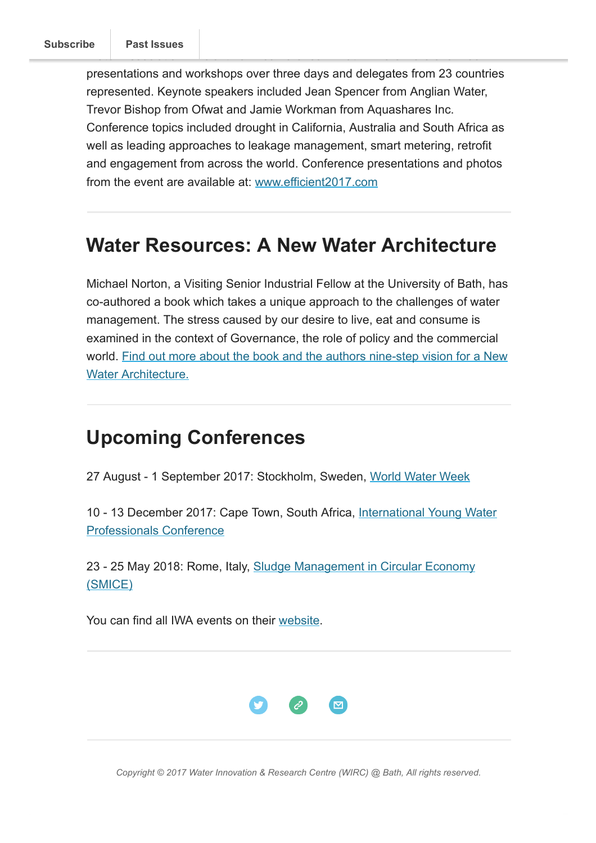presentations and workshops over three days and delegates from 23 countries represented. Keynote speakers included Jean Spencer from Anglian Water, Trevor Bishop from Ofwat and Jamie Workman from Aquashares Inc. Conference topics included drought in California, Australia and South Africa as well as leading approaches to leakage management, smart metering, retrofit and engagement from across the world. Conference presentations and photos from the event are available at: [www.efficient2017.com](http://www.efficient2017.com/)

### <span id="page-2-0"></span>Water Resources: A New Water Architecture

Michael Norton, a Visiting Senior Industrial Fellow at the University of Bath, has co-authored a book which takes a unique approach to the challenges of water management. The stress caused by our desire to live, eat and consume is examined in the context of Governance, the role of policy and the commercial [world. Find out more about the book and the authors nine-step vision for a New](http://eu.wiley.com/WileyCDA/WileyTitle/productCd-1118793900.html) Water Architecture.

### <span id="page-2-1"></span>Upcoming Conferences

27 August - 1 September 2017: Stockholm, Sweden, [World Water Week](http://www.worldwaterweek.org/)

[10 - 13 December 2017: Cape Town, South Africa, International Young Water](http://iwaywpconference.org/) Professionals Conference

[23 - 25 May 2018: Rome, Italy, Sludge Management in Circular Economy](http://smice2018.com/) (SMICE)

You can find all IWA events on their [website](http://www.iwa-network.org/all-events/).



Copyright © 2017 Water Innovation & Research Centre (WIRC) @ Bath, All rights reserved.